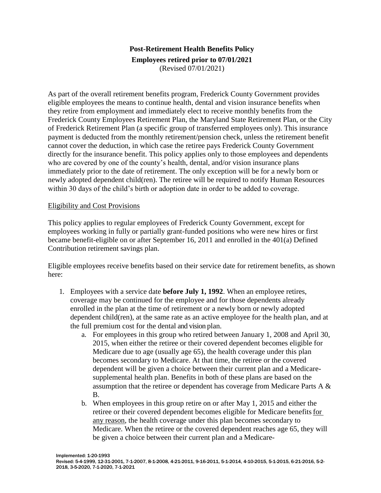## **Post-Retirement Health Benefits Policy Employees retired prior to 07/01/2021** (Revised 07/01/2021)

As part of the overall retirement benefits program, Frederick County Government provides eligible employees the means to continue health, dental and vision insurance benefits when they retire from employment and immediately elect to receive monthly benefits from the Frederick County Employees Retirement Plan, the Maryland State Retirement Plan, or the City of Frederick Retirement Plan (a specific group of transferred employees only). This insurance payment is deducted from the monthly retirement/pension check, unless the retirement benefit cannot cover the deduction, in which case the retiree pays Frederick County Government directly for the insurance benefit. This policy applies only to those employees and dependents who are covered by one of the county's health, dental, and/or vision insurance plans immediately prior to the date of retirement. The only exception will be for a newly born or newly adopted dependent child(ren). The retiree will be required to notify Human Resources within 30 days of the child's birth or adoption date in order to be added to coverage.

## Eligibility and Cost Provisions

This policy applies to regular employees of Frederick County Government, except for employees working in fully or partially grant-funded positions who were new hires or first became benefit-eligible on or after September 16, 2011 and enrolled in the 401(a) Defined Contribution retirement savings plan.

Eligible employees receive benefits based on their service date for retirement benefits, as shown here:

- 1. Employees with a service date **before July 1, 1992**. When an employee retires, coverage may be continued for the employee and for those dependents already enrolled in the plan at the time of retirement or a newly born or newly adopted dependent child(ren), at the same rate as an active employee for the health plan, and at the full premium cost for the dental and vision plan.
	- a. For employees in this group who retired between January 1, 2008 and April 30, 2015, when either the retiree or their covered dependent becomes eligible for Medicare due to age (usually age 65), the health coverage under this plan becomes secondary to Medicare. At that time, the retiree or the covered dependent will be given a choice between their current plan and a Medicaresupplemental health plan. Benefits in both of these plans are based on the assumption that the retiree or dependent has coverage from Medicare Parts A & B.
	- b. When employees in this group retire on or after May 1, 2015 and either the retiree or their covered dependent becomes eligible for Medicare benefits for any reason, the health coverage under this plan becomes secondary to Medicare. When the retiree or the covered dependent reaches age 65, they will be given a choice between their current plan and a Medicare-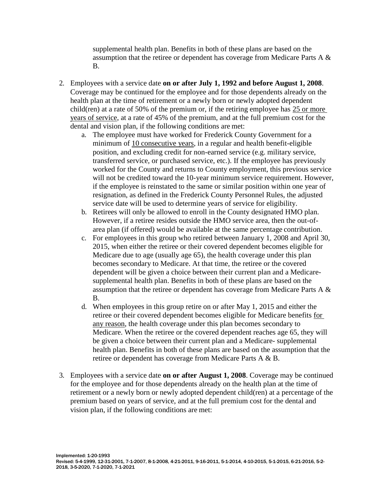supplemental health plan. Benefits in both of these plans are based on the assumption that the retiree or dependent has coverage from Medicare Parts A & B.

- 2. Employees with a service date **on or after July 1, 1992 and before August 1, 2008**. Coverage may be continued for the employee and for those dependents already on the health plan at the time of retirement or a newly born or newly adopted dependent child(ren) at a rate of 50% of the premium or, if the retiring employee has 25 or more years of service, at a rate of 45% of the premium, and at the full premium cost for the dental and vision plan, if the following conditions are met:
	- a. The employee must have worked for Frederick County Government for a minimum of 10 consecutive years, in a regular and health benefit-eligible position, and excluding credit for non-earned service (e.g. military service, transferred service, or purchased service, etc.). If the employee has previously worked for the County and returns to County employment, this previous service will not be credited toward the 10-year minimum service requirement. However, if the employee is reinstated to the same or similar position within one year of resignation, as defined in the Frederick County Personnel Rules, the adjusted service date will be used to determine years of service for eligibility.
	- b. Retirees will only be allowed to enroll in the County designated HMO plan. However, if a retiree resides outside the HMO service area, then the out-ofarea plan (if offered) would be available at the same percentage contribution.
	- c. For employees in this group who retired between January 1, 2008 and April 30, 2015, when either the retiree or their covered dependent becomes eligible for Medicare due to age (usually age 65), the health coverage under this plan becomes secondary to Medicare. At that time, the retiree or the covered dependent will be given a choice between their current plan and a Medicaresupplemental health plan. Benefits in both of these plans are based on the assumption that the retiree or dependent has coverage from Medicare Parts A & B.
	- d. When employees in this group retire on or after May 1, 2015 and either the retiree or their covered dependent becomes eligible for Medicare benefits for any reason, the health coverage under this plan becomes secondary to Medicare. When the retiree or the covered dependent reaches age 65, they will be given a choice between their current plan and a Medicare- supplemental health plan. Benefits in both of these plans are based on the assumption that the retiree or dependent has coverage from Medicare Parts A & B.
- 3. Employees with a service date **on or after August 1, 2008**. Coverage may be continued for the employee and for those dependents already on the health plan at the time of retirement or a newly born or newly adopted dependent child(ren) at a percentage of the premium based on years of service, and at the full premium cost for the dental and vision plan, if the following conditions are met: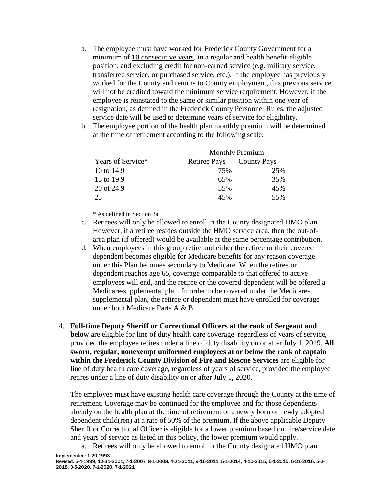- a. The employee must have worked for Frederick County Government for a minimum of 10 consecutive years, in a regular and health benefit-eligible position, and excluding credit for non-earned service (e.g. military service, transferred service, or purchased service, etc.). If the employee has previously worked for the County and returns to County employment, this previous service will not be credited toward the minimum service requirement. However, if the employee is reinstated to the same or similar position within one year of resignation, as defined in the Frederick County Personnel Rules, the adjusted service date will be used to determine years of service for eligibility.
- b. The employee portion of the health plan monthly premium will be determined at the time of retirement according to the following scale:

|                   | <b>Monthly Premium</b> |                    |
|-------------------|------------------------|--------------------|
| Years of Service* | <b>Retiree Pays</b>    | <b>County Pays</b> |
| 10 to 14.9        | 75%                    | 25%                |
| 15 to 19.9        | 65%                    | 35%                |
| 20 ot 24.9        | 55%                    | 45%                |
| $25+$             | 45%                    | 55%                |

\* As defined in Section 3a

- c. Retirees will only be allowed to enroll in the County designated HMO plan. However, if a retiree resides outside the HMO service area, then the out-ofarea plan (if offered) would be available at the same percentage contribution.
- d. When employees in this group retire and either the retiree or their covered dependent becomes eligible for Medicare benefits for any reason coverage under this Plan becomes secondary to Medicare. When the retiree or dependent reaches age 65, coverage comparable to that offered to active employees will end, and the retiree or the covered dependent will be offered a Medicare-supplemental plan. In order to be covered under the Medicaresupplemental plan, the retiree or dependent must have enrolled for coverage under both Medicare Parts A & B.
- 4. **Full-time Deputy Sheriff or Correctional Officers at the rank of Sergeant and below** are eligible for line of duty health care coverage, regardless of years of service, provided the employee retires under a line of duty disability on or after July 1, 2019. **All sworn, regular, nonexempt uniformed employees at or below the rank of captain within the Frederick County Division of Fire and Rescue Services** are eligible for line of duty health care coverage, regardless of years of service, provided the employee retires under a line of duty disability on or after July 1, 2020.

The employee must have existing health care coverage through the County at the time of retirement. Coverage may be continued for the employee and for those dependents already on the health plan at the time of retirement or a newly born or newly adopted dependent child(ren) at a rate of 50% of the premium. If the above applicable Deputy Sheriff or Correctional Officer is eligible for a lower premium based on hire/service date and years of service as listed in this policy, the lower premium would apply.

Implemented: 1-20-1993 a. Retirees will only be allowed to enroll in the County designated HMO plan.